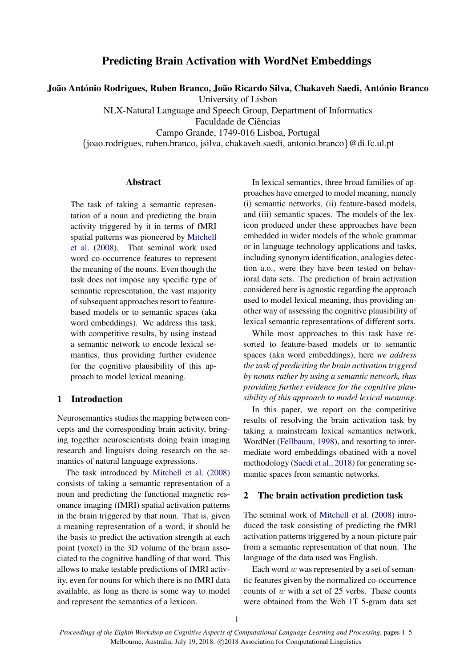# Predicting Brain Activation with WordNet Embeddings

João António Rodrigues, Ruben Branco, João Ricardo Silva, Chakaveh Saedi, António Branco

University of Lisbon

NLX-Natural Language and Speech Group, Department of Informatics

Faculdade de Ciências

Campo Grande, 1749-016 Lisboa, Portugal

{joao.rodrigues, ruben.branco, jsilva, chakaveh.saedi, antonio.branco}@di.fc.ul.pt

### Abstract

The task of taking a semantic representation of a noun and predicting the brain activity triggered by it in terms of fMRI spatial patterns was pioneered by [Mitchell](#page-4-0) [et al.](#page-4-0) [\(2008\)](#page-4-0). That seminal work used word co-occurrence features to represent the meaning of the nouns. Even though the task does not impose any specific type of semantic representation, the vast majority of subsequent approaches resort to featurebased models or to semantic spaces (aka word embeddings). We address this task, with competitive results, by using instead a semantic network to encode lexical semantics, thus providing further evidence for the cognitive plausibility of this approach to model lexical meaning.

### 1 Introduction

Neurosemantics studies the mapping between concepts and the corresponding brain activity, bringing together neuroscientists doing brain imaging research and linguists doing research on the semantics of natural language expressions.

The task introduced by [Mitchell et al.](#page-4-0) [\(2008\)](#page-4-0) consists of taking a semantic representation of a noun and predicting the functional magnetic resonance imaging (fMRI) spatial activation patterns in the brain triggered by that noun. That is, given a meaning representation of a word, it should be the basis to predict the activation strength at each point (voxel) in the 3D volume of the brain associated to the cognitive handling of that word. This allows to make testable predictions of fMRI activity, even for nouns for which there is no fMRI data available, as long as there is some way to model and represent the semantics of a lexicon.

In lexical semantics, three broad families of approaches have emerged to model meaning, namely (i) semantic networks, (ii) feature-based models, and (iii) semantic spaces. The models of the lexicon produced under these approaches have been embedded in wider models of the whole grammar or in language technology applications and tasks, including synonym identification, analogies detection a.o., were they have been tested on behavioral data sets. The prediction of brain activation considered here is agnostic regarding the approach used to model lexical meaning, thus providing another way of assessing the cognitive plausibility of lexical semantic representations of different sorts.

While most approaches to this task have resorted to feature-based models or to semantic spaces (aka word embeddings), here *we address the task of prediciting the brain activation triggred by nouns rather by using a semantic network, thus providing further evidence for the cognitive plausibility of this approach to model lexical meaning*.

In this paper, we report on the competitive results of resolving the brain activation task by taking a mainstream lexical semantics network, WordNet [\(Fellbaum,](#page-4-1) [1998\)](#page-4-1), and resorting to intermediate word embeddings obatined with a novel methodology [\(Saedi et al.,](#page-4-2) [2018\)](#page-4-2) for generating semantic spaces from semantic networks.

#### 2 The brain activation prediction task

The seminal work of [Mitchell et al.](#page-4-0) [\(2008\)](#page-4-0) introduced the task consisting of predicting the fMRI activation patterns triggered by a noun-picture pair from a semantic representation of that noun. The language of the data used was English.

Each word  $w$  was represented by a set of semantic features given by the normalized co-occurrence counts of  $w$  with a set of 25 verbs. These counts were obtained from the Web 1T 5-gram data set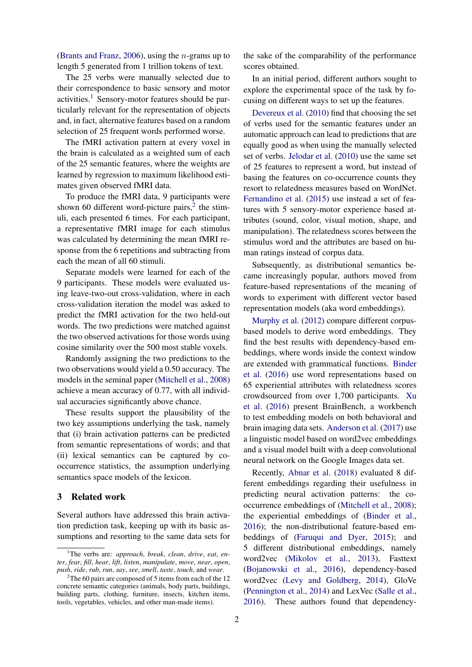[\(Brants and Franz,](#page-4-3) [2006\)](#page-4-3), using the n-grams up to length 5 generated from 1 trillion tokens of text.

The 25 verbs were manually selected due to their correspondence to basic sensory and motor activities.<sup>[1](#page-1-0)</sup> Sensory-motor features should be particularly relevant for the representation of objects and, in fact, alternative features based on a random selection of 25 frequent words performed worse.

The fMRI activation pattern at every voxel in the brain is calculated as a weighted sum of each of the 25 semantic features, where the weights are learned by regression to maximum likelihood estimates given observed fMRI data.

To produce the fMRI data, 9 participants were shown 60 different word-picture pairs, $2$  the stimuli, each presented 6 times. For each participant, a representative fMRI image for each stimulus was calculated by determining the mean fMRI response from the 6 repetitions and subtracting from each the mean of all 60 stimuli.

Separate models were learned for each of the 9 participants. These models were evaluated using leave-two-out cross-validation, where in each cross-validation iteration the model was asked to predict the fMRI activation for the two held-out words. The two predictions were matched against the two observed activations for those words using cosine similarity over the 500 most stable voxels.

Randomly assigning the two predictions to the two observations would yield a 0.50 accuracy. The models in the seminal paper [\(Mitchell et al.,](#page-4-0) [2008\)](#page-4-0) achieve a mean accuracy of 0.77, with all individual accuracies significantly above chance.

These results support the plausibility of the two key assumptions underlying the task, namely that (i) brain activation patterns can be predicted from semantic representations of words; and that (ii) lexical semantics can be captured by cooccurrence statistics, the assumption underlying semantics space models of the lexicon.

### 3 Related work

Several authors have addressed this brain activation prediction task, keeping up with its basic assumptions and resorting to the same data sets for

the sake of the comparability of the performance scores obtained.

In an initial period, different authors sought to explore the experimental space of the task by focusing on different ways to set up the features.

[Devereux et al.](#page-4-4) [\(2010\)](#page-4-4) find that choosing the set of verbs used for the semantic features under an automatic approach can lead to predictions that are equally good as when using the manually selected set of verbs. [Jelodar et al.](#page-4-5) [\(2010\)](#page-4-5) use the same set of 25 features to represent a word, but instead of basing the features on co-occurrence counts they resort to relatedness measures based on WordNet. [Fernandino et al.](#page-4-6) [\(2015\)](#page-4-6) use instead a set of features with 5 sensory-motor experience based attributes (sound, color, visual motion, shape, and manipulation). The relatedness scores between the stimulus word and the attributes are based on human ratings instead of corpus data.

Subsequently, as distributional semantics became increasingly popular, authors moved from feature-based representations of the meaning of words to experiment with different vector based representation models (aka word embeddings).

[Murphy et al.](#page-4-7) [\(2012\)](#page-4-7) compare different corpusbased models to derive word embeddings. They find the best results with dependency-based embeddings, where words inside the context window are extended with grammatical functions. [Binder](#page-4-8) [et al.](#page-4-8) [\(2016\)](#page-4-8) use word representations based on 65 experiential attributes with relatedness scores crowdsourced from over 1,700 participants. [Xu](#page-4-9) [et al.](#page-4-9) [\(2016\)](#page-4-9) present BrainBench, a workbench to test embedding models on both behavioral and brain imaging data sets. [Anderson et al.](#page-4-10) [\(2017\)](#page-4-10) use a linguistic model based on word2vec embeddings and a visual model built with a deep convolutional neural network on the Google Images data set.

Recently, [Abnar et al.](#page-4-11) [\(2018\)](#page-4-11) evaluated 8 different embeddings regarding their usefulness in predicting neural activation patterns: the cooccurrence embeddings of [\(Mitchell et al.,](#page-4-0) [2008\)](#page-4-0); the experiential embeddings of [\(Binder et al.,](#page-4-8) [2016\)](#page-4-8); the non-distributional feature-based embeddings of [\(Faruqui and Dyer,](#page-4-12) [2015\)](#page-4-12); and 5 different distributional embeddings, namely word2vec [\(Mikolov et al.,](#page-4-13) [2013\)](#page-4-13), Fasttext [\(Bojanowski et al.,](#page-4-14) [2016\)](#page-4-14), dependency-based word2vec [\(Levy and Goldberg,](#page-4-15) [2014\)](#page-4-15), GloVe [\(Pennington et al.,](#page-4-16) [2014\)](#page-4-16) and LexVec [\(Salle et al.,](#page-4-17) [2016\)](#page-4-17). These authors found that dependency-

<span id="page-1-0"></span><sup>1</sup>The verbs are: *approach*, *break*, *clean*, *drive*, *eat*, *enter*, *fear*, *fill*, *hear*, *lift*, *listen*, *manipulate*, *move*, *near*, *open*, *push*, *ride*, *rub*, *run*, *say*, *see*, *smell*, *taste*, *touch*, and *wear*.

<span id="page-1-1"></span><sup>&</sup>lt;sup>2</sup>The 60 pairs are composed of 5 items from each of the 12 concrete semantic categories (animals, body parts, buildings, building parts, clothing, furniture, insects, kitchen items, tools, vegetables, vehicles, and other man-made items).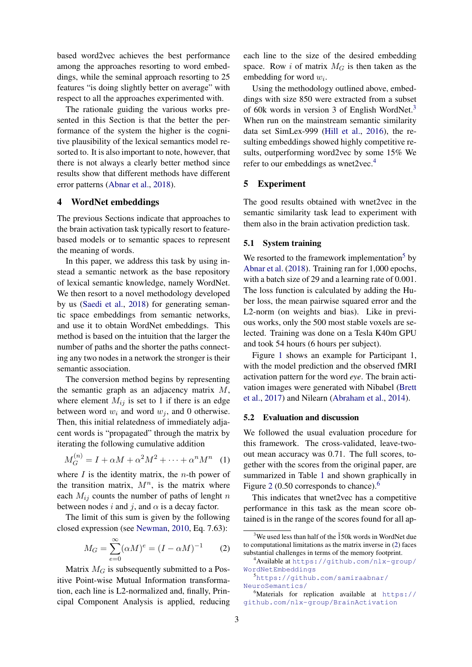based word2vec achieves the best performance among the approaches resorting to word embeddings, while the seminal approach resorting to 25 features "is doing slightly better on average" with respect to all the approaches experimented with.

The rationale guiding the various works presented in this Section is that the better the performance of the system the higher is the cognitive plausibility of the lexical semantics model resorted to. It is also important to note, however, that there is not always a clearly better method since results show that different methods have different error patterns [\(Abnar et al.,](#page-4-11) [2018\)](#page-4-11).

#### 4 WordNet embeddings

The previous Sections indicate that approaches to the brain activation task typically resort to featurebased models or to semantic spaces to represent the meaning of words.

In this paper, we address this task by using instead a semantic network as the base repository of lexical semantic knowledge, namely WordNet. We then resort to a novel methodology developed by us [\(Saedi et al.,](#page-4-2) [2018\)](#page-4-2) for generating semantic space embeddings from semantic networks, and use it to obtain WordNet embeddings. This method is based on the intuition that the larger the number of paths and the shorter the paths connecting any two nodes in a network the stronger is their semantic association.

The conversion method begins by representing the semantic graph as an adjacency matrix  $M$ , where element  $M_{ij}$  is set to 1 if there is an edge between word  $w_i$  and word  $w_j$ , and 0 otherwise. Then, this initial relatedness of immediately adjacent words is "propagated" through the matrix by iterating the following cumulative addition

$$
M_G^{(n)} = I + \alpha M + \alpha^2 M^2 + \dots + \alpha^n M^n \quad (1)
$$

where  $I$  is the identity matrix, the *n*-th power of the transition matrix,  $M^n$ , is the matrix where each  $M_{ij}$  counts the number of paths of lenght n between nodes i and j, and  $\alpha$  is a decay factor.

The limit of this sum is given by the following closed expression (see [Newman,](#page-4-18) [2010,](#page-4-18) Eq. 7.63):

<span id="page-2-4"></span>
$$
M_G = \sum_{e=0}^{\infty} (\alpha M)^e = (I - \alpha M)^{-1}
$$
 (2)

Matrix  $M_G$  is subsequently submitted to a Positive Point-wise Mutual Information transformation, each line is L2-normalized and, finally, Principal Component Analysis is applied, reducing each line to the size of the desired embedding space. Row i of matrix  $M_G$  is then taken as the embedding for word  $w_i$ .

Using the methodology outlined above, embeddings with size 850 were extracted from a subset of 60k words in version 3 of English WordNet.[3](#page-2-0) When run on the mainstream semantic similarity data set SimLex-999 [\(Hill et al.,](#page-4-19) [2016\)](#page-4-19), the resulting embeddings showed highly competitive results, outperforming word2vec by some 15% We refer to our embeddings as wnet2vec.<sup>[4](#page-2-1)</sup>

### 5 Experiment

The good results obtained with wnet2vec in the semantic similarity task lead to experiment with them also in the brain activation prediction task.

#### 5.1 System training

We resorted to the framework implementation<sup>[5](#page-2-2)</sup> by [Abnar et al.](#page-4-11) [\(2018\)](#page-4-11). Training ran for 1,000 epochs, with a batch size of 29 and a learning rate of 0.001. The loss function is calculated by adding the Huber loss, the mean pairwise squared error and the L2-norm (on weights and bias). Like in previous works, only the 500 most stable voxels are selected. Training was done on a Tesla K40m GPU and took 54 hours (6 hours per subject).

Figure [1](#page-3-0) shows an example for Participant 1, with the model prediction and the observed fMRI activation pattern for the word *eye*. The brain activation images were generated with Nibabel [\(Brett](#page-4-20) [et al.,](#page-4-20) [2017\)](#page-4-20) and Nilearn [\(Abraham et al.,](#page-4-21) [2014\)](#page-4-21).

#### 5.2 Evaluation and discussion

We followed the usual evaluation procedure for this framework. The cross-validated, leave-twoout mean accuracy was 0.71. The full scores, together with the scores from the original paper, are summarized in Table [1](#page-3-1) and shown graphically in Figure [2](#page-3-2) (0.50 corresponds to chance).<sup>[6](#page-2-3)</sup>

This indicates that wnet2vec has a competitive performance in this task as the mean score obtained is in the range of the scores found for all ap-

<span id="page-2-2"></span><sup>5</sup>[https://github.com/samiraabnar/](https://github.com/samiraabnar/NeuroSemantics/) [NeuroSemantics/](https://github.com/samiraabnar/NeuroSemantics/)

<span id="page-2-0"></span> $3$ We used less than half of the  $150k$  words in WordNet due to computational limitations as the matrix inverse in [\(2\)](#page-2-4) faces substantial challenges in terms of the memory footprint.

<span id="page-2-1"></span><sup>4</sup>Available at [https://github.com/nlx-group/](https://github.com/nlx-group/WordNetEmbeddings) [WordNetEmbeddings](https://github.com/nlx-group/WordNetEmbeddings)

<span id="page-2-3"></span> $6$ Materials for replication available at [https://](https://github.com/nlx-group/BrainActivation) [github.com/nlx-group/BrainActivation](https://github.com/nlx-group/BrainActivation)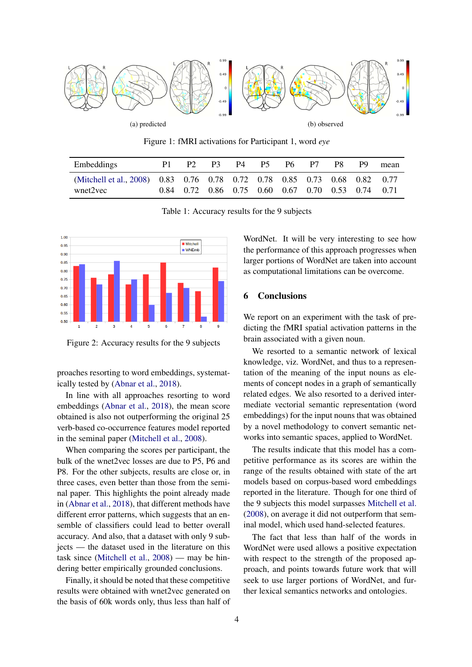<span id="page-3-0"></span>

Figure 1: fMRI activations for Participant 1, word *eye*

<span id="page-3-1"></span>

| Embeddings                                                                            |                                                   | P3. | P4 P5 | P6 = | P7 | P <sub>9</sub> | mean |
|---------------------------------------------------------------------------------------|---------------------------------------------------|-----|-------|------|----|----------------|------|
| (Mitchell et al., 2008) 0.83 0.76 0.78 0.72 0.78 0.85 0.73 0.68 0.82 0.77<br>wnet2vec | 0.84 0.72 0.86 0.75 0.60 0.67 0.70 0.53 0.74 0.71 |     |       |      |    |                |      |

Table 1: Accuracy results for the 9 subjects

<span id="page-3-2"></span>

Figure 2: Accuracy results for the 9 subjects

proaches resorting to word embeddings, systematically tested by [\(Abnar et al.,](#page-4-11) [2018\)](#page-4-11).

In line with all approaches resorting to word embeddings [\(Abnar et al.,](#page-4-11) [2018\)](#page-4-11), the mean score obtained is also not outperforming the original 25 verb-based co-occurrence features model reported in the seminal paper [\(Mitchell et al.,](#page-4-0) [2008\)](#page-4-0).

When comparing the scores per participant, the bulk of the wnet2vec losses are due to P5, P6 and P8. For the other subjects, results are close or, in three cases, even better than those from the seminal paper. This highlights the point already made in [\(Abnar et al.,](#page-4-11) [2018\)](#page-4-11), that different methods have different error patterns, which suggests that an ensemble of classifiers could lead to better overall accuracy. And also, that a dataset with only 9 subjects — the dataset used in the literature on this task since [\(Mitchell et al.,](#page-4-0) [2008\)](#page-4-0) — may be hindering better empirically grounded conclusions.

Finally, it should be noted that these competitive results were obtained with wnet2vec generated on the basis of 60k words only, thus less than half of WordNet. It will be very interesting to see how the performance of this approach progresses when larger portions of WordNet are taken into account as computational limitations can be overcome.

## 6 Conclusions

We report on an experiment with the task of predicting the fMRI spatial activation patterns in the brain associated with a given noun.

We resorted to a semantic network of lexical knowledge, viz. WordNet, and thus to a representation of the meaning of the input nouns as elements of concept nodes in a graph of semantically related edges. We also resorted to a derived intermediate vectorial semantic representation (word embeddings) for the input nouns that was obtained by a novel methodology to convert semantic networks into semantic spaces, applied to WordNet.

The results indicate that this model has a competitive performance as its scores are within the range of the results obtained with state of the art models based on corpus-based word embeddings reported in the literature. Though for one third of the 9 subjects this model surpasses [Mitchell et al.](#page-4-0) [\(2008\)](#page-4-0), on average it did not outperform that seminal model, which used hand-selected features.

The fact that less than half of the words in WordNet were used allows a positive expectation with respect to the strength of the proposed approach, and points towards future work that will seek to use larger portions of WordNet, and further lexical semantics networks and ontologies.